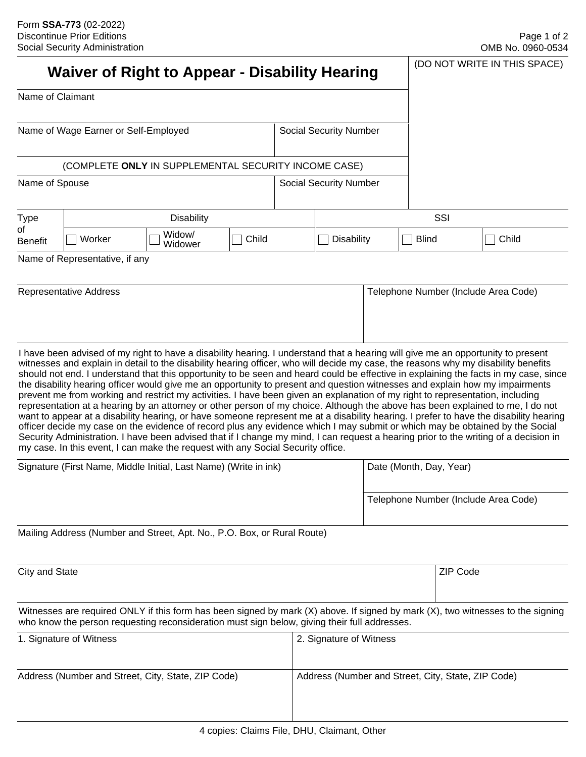| <b>Waiver of Right to Appear - Disability Hearing</b>            |                                                                                                                                                                                                                                                                                                                                                                                                                                                                                                                                                                                                                                                                                                                                                                                                                                                                                                                                                                                                                                      |  |  |                               |                                                    |                                      | (DO NOT WRITE IN THIS SPACE) |                                      |                                                                                                                                                                                                                                                                               |  |
|------------------------------------------------------------------|--------------------------------------------------------------------------------------------------------------------------------------------------------------------------------------------------------------------------------------------------------------------------------------------------------------------------------------------------------------------------------------------------------------------------------------------------------------------------------------------------------------------------------------------------------------------------------------------------------------------------------------------------------------------------------------------------------------------------------------------------------------------------------------------------------------------------------------------------------------------------------------------------------------------------------------------------------------------------------------------------------------------------------------|--|--|-------------------------------|----------------------------------------------------|--------------------------------------|------------------------------|--------------------------------------|-------------------------------------------------------------------------------------------------------------------------------------------------------------------------------------------------------------------------------------------------------------------------------|--|
| Name of Claimant                                                 |                                                                                                                                                                                                                                                                                                                                                                                                                                                                                                                                                                                                                                                                                                                                                                                                                                                                                                                                                                                                                                      |  |  |                               |                                                    |                                      |                              |                                      |                                                                                                                                                                                                                                                                               |  |
| Name of Wage Earner or Self-Employed                             |                                                                                                                                                                                                                                                                                                                                                                                                                                                                                                                                                                                                                                                                                                                                                                                                                                                                                                                                                                                                                                      |  |  | <b>Social Security Number</b> |                                                    |                                      |                              |                                      |                                                                                                                                                                                                                                                                               |  |
|                                                                  | (COMPLETE ONLY IN SUPPLEMENTAL SECURITY INCOME CASE)                                                                                                                                                                                                                                                                                                                                                                                                                                                                                                                                                                                                                                                                                                                                                                                                                                                                                                                                                                                 |  |  |                               |                                                    |                                      |                              |                                      |                                                                                                                                                                                                                                                                               |  |
| Name of Spouse                                                   |                                                                                                                                                                                                                                                                                                                                                                                                                                                                                                                                                                                                                                                                                                                                                                                                                                                                                                                                                                                                                                      |  |  |                               | <b>Social Security Number</b>                      |                                      |                              |                                      |                                                                                                                                                                                                                                                                               |  |
| Type                                                             | <b>Disability</b>                                                                                                                                                                                                                                                                                                                                                                                                                                                                                                                                                                                                                                                                                                                                                                                                                                                                                                                                                                                                                    |  |  |                               |                                                    |                                      | SSI                          |                                      |                                                                                                                                                                                                                                                                               |  |
| of<br><b>Benefit</b>                                             | Widow/<br>Worker<br>Child<br>Widower                                                                                                                                                                                                                                                                                                                                                                                                                                                                                                                                                                                                                                                                                                                                                                                                                                                                                                                                                                                                 |  |  | <b>Disability</b>             |                                                    |                                      |                              | Child<br><b>Blind</b>                |                                                                                                                                                                                                                                                                               |  |
|                                                                  | Name of Representative, if any                                                                                                                                                                                                                                                                                                                                                                                                                                                                                                                                                                                                                                                                                                                                                                                                                                                                                                                                                                                                       |  |  |                               |                                                    |                                      |                              |                                      |                                                                                                                                                                                                                                                                               |  |
| <b>Representative Address</b>                                    |                                                                                                                                                                                                                                                                                                                                                                                                                                                                                                                                                                                                                                                                                                                                                                                                                                                                                                                                                                                                                                      |  |  |                               |                                                    | Telephone Number (Include Area Code) |                              |                                      |                                                                                                                                                                                                                                                                               |  |
|                                                                  | I have been advised of my right to have a disability hearing. I understand that a hearing will give me an opportunity to present<br>witnesses and explain in detail to the disability hearing officer, who will decide my case, the reasons why my disability benefits<br>the disability hearing officer would give me an opportunity to present and question witnesses and explain how my impairments<br>prevent me from working and restrict my activities. I have been given an explanation of my right to representation, including<br>representation at a hearing by an attorney or other person of my choice. Although the above has been explained to me, I do not<br>officer decide my case on the evidence of record plus any evidence which I may submit or which may be obtained by the Social<br>Security Administration. I have been advised that if I change my mind, I can request a hearing prior to the writing of a decision in<br>my case. In this event, I can make the request with any Social Security office. |  |  |                               |                                                    |                                      |                              |                                      | should not end. I understand that this opportunity to be seen and heard could be effective in explaining the facts in my case, since<br>want to appear at a disability hearing, or have someone represent me at a disability hearing. I prefer to have the disability hearing |  |
| Signature (First Name, Middle Initial, Last Name) (Write in ink) |                                                                                                                                                                                                                                                                                                                                                                                                                                                                                                                                                                                                                                                                                                                                                                                                                                                                                                                                                                                                                                      |  |  |                               |                                                    | Date (Month, Day, Year)              |                              |                                      |                                                                                                                                                                                                                                                                               |  |
|                                                                  |                                                                                                                                                                                                                                                                                                                                                                                                                                                                                                                                                                                                                                                                                                                                                                                                                                                                                                                                                                                                                                      |  |  |                               |                                                    |                                      |                              | Telephone Number (Include Area Code) |                                                                                                                                                                                                                                                                               |  |
|                                                                  | Mailing Address (Number and Street, Apt. No., P.O. Box, or Rural Route)                                                                                                                                                                                                                                                                                                                                                                                                                                                                                                                                                                                                                                                                                                                                                                                                                                                                                                                                                              |  |  |                               |                                                    |                                      |                              |                                      |                                                                                                                                                                                                                                                                               |  |
| City and State                                                   |                                                                                                                                                                                                                                                                                                                                                                                                                                                                                                                                                                                                                                                                                                                                                                                                                                                                                                                                                                                                                                      |  |  |                               |                                                    | <b>ZIP Code</b>                      |                              |                                      |                                                                                                                                                                                                                                                                               |  |
|                                                                  | who know the person requesting reconsideration must sign below, giving their full addresses.                                                                                                                                                                                                                                                                                                                                                                                                                                                                                                                                                                                                                                                                                                                                                                                                                                                                                                                                         |  |  |                               |                                                    |                                      |                              |                                      | Witnesses are required ONLY if this form has been signed by mark (X) above. If signed by mark (X), two witnesses to the signing                                                                                                                                               |  |
| 1. Signature of Witness                                          |                                                                                                                                                                                                                                                                                                                                                                                                                                                                                                                                                                                                                                                                                                                                                                                                                                                                                                                                                                                                                                      |  |  |                               | 2. Signature of Witness                            |                                      |                              |                                      |                                                                                                                                                                                                                                                                               |  |
| Address (Number and Street, City, State, ZIP Code)               |                                                                                                                                                                                                                                                                                                                                                                                                                                                                                                                                                                                                                                                                                                                                                                                                                                                                                                                                                                                                                                      |  |  |                               | Address (Number and Street, City, State, ZIP Code) |                                      |                              |                                      |                                                                                                                                                                                                                                                                               |  |